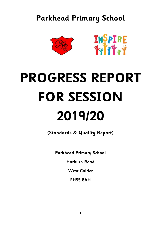# **Parkhead Primary School**





# **PROGRESS REPORT FOR SESSION 2019/20**

**(Standards & Quality Report)**

**Parkhead Primary School**

**Harburn Road**

**West Calder** 

**EH55 8AH**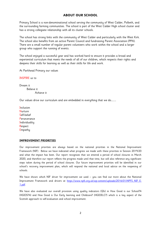# **ABOUT OUR SCHOOL**

Primary School is a non-denominational school serving the community of West Calder, Polbeth, and the surrounding farming communities. The school is part of the West Calder High school cluster and has a strong collegiate relationship with all its cluster schools.

The school has strong links with the community of West Calder and particularly with the West Kirk. The school also benefits from an active Parent Council and fundraising Parent Association (PPA). There are a small number of regular parent volunteers who work within the school and a larger group who support the running of events.

The school enjoyed a successful year and has worked hard to ensure it provides a broad and experiential curriculum that meets the needs of all of our children, which respects their rights and deepens their skills for learning as well as their skills for life and work.

At Parkhead Primary our values

INSPIRE us to

Dream it Believe it Achieve it

Our values drive our curriculum and are embedded in everything that we do…….…

**Inclusion** Nurture Self-belief Perseverance **Individuality** Respect **Empathy** 

# **IMPROVEMENT PRIORITIES**

Our improvement priorities are always based on the national priorities in the National Improvement Framework (NIF). Below we have indicated what progress we made with these priorities in Session 2019/20 and what the impact has been. Our report recognises that we entered a period of school closures in March 2020, and therefore our report reflects the progress made until that time, but will also reference any significant steps taken during the period of school closures. Our future improvement priorities will be identified in our school's recovery improvement plan, which will respond the national and local advice on the reopening of schools.

We have shown which NIF driver for improvement we used  $-$  you can find out more about the National Improvement Framework and drivers at [https://www.npfs.org.uk/wp-content/uploads/2016/01/NPFS\\_NIF\\_E-](https://www.npfs.org.uk/wp-content/uploads/2016/01/NPFS_NIF_E-1.pdf)[1.pdf.](https://www.npfs.org.uk/wp-content/uploads/2016/01/NPFS_NIF_E-1.pdf)

We have also evaluated our overall provision using quality indicators (QIs) in How Good is our School?4 (HGIOS?4) and How Good is Our Early learning and Childcare? (HGIOELC?) which is a key aspect of the Scottish approach to self-evaluation and school improvement.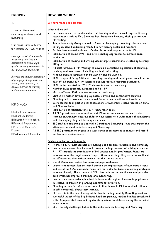| <b>PRIORITY</b>                                                                                                                                                                                                                                                                                                                                                                                                                                                                                | <b>HOW DID WE DO?</b>                                                                                                                                                                                                                                                                                                                                                                                                                                                                                                                                                                                                                                                                                                                                                                                                                                                                                                                                                                                                                                                                                                                                                                                                                                                                                                                                                                                                                                                                                                                                                                                                                                                                                                                                                                                                                       |  |  |
|------------------------------------------------------------------------------------------------------------------------------------------------------------------------------------------------------------------------------------------------------------------------------------------------------------------------------------------------------------------------------------------------------------------------------------------------------------------------------------------------|---------------------------------------------------------------------------------------------------------------------------------------------------------------------------------------------------------------------------------------------------------------------------------------------------------------------------------------------------------------------------------------------------------------------------------------------------------------------------------------------------------------------------------------------------------------------------------------------------------------------------------------------------------------------------------------------------------------------------------------------------------------------------------------------------------------------------------------------------------------------------------------------------------------------------------------------------------------------------------------------------------------------------------------------------------------------------------------------------------------------------------------------------------------------------------------------------------------------------------------------------------------------------------------------------------------------------------------------------------------------------------------------------------------------------------------------------------------------------------------------------------------------------------------------------------------------------------------------------------------------------------------------------------------------------------------------------------------------------------------------------------------------------------------------------------------------------------------------|--|--|
| 1 <sub>1</sub>                                                                                                                                                                                                                                                                                                                                                                                                                                                                                 | We have made good progress.                                                                                                                                                                                                                                                                                                                                                                                                                                                                                                                                                                                                                                                                                                                                                                                                                                                                                                                                                                                                                                                                                                                                                                                                                                                                                                                                                                                                                                                                                                                                                                                                                                                                                                                                                                                                                 |  |  |
| To raise attainment,<br>especially in literacy and<br>numeracy                                                                                                                                                                                                                                                                                                                                                                                                                                 | What did we do?<br>Purchased resources, implemented staff training and introduced targeted literacy<br>interventions such as IDL, 5 minute Box, Dandelion Readers, Mighty Writer and<br>PM writing                                                                                                                                                                                                                                                                                                                                                                                                                                                                                                                                                                                                                                                                                                                                                                                                                                                                                                                                                                                                                                                                                                                                                                                                                                                                                                                                                                                                                                                                                                                                                                                                                                          |  |  |
| Our measurable outcome<br>for session 2019/20 was to<br>Develop consistent approaches<br>to learning, teaching and<br>assessment to ensure high<br>quality learning experiences for<br>all, and raised attainment.<br>Increase practitioner knowledge<br>of pedagogical approaches to<br>literacy and numeracy to<br>address barriers to learning<br>and improve attainment<br>NIF Driver(s):<br>⊠School Improvement<br>⊠School Leadership<br>⊠Teacher Professionalism<br>⊠Parental Engagement | Junior Leadership Group created to focus on developing a reading culture - new<br>٠<br>library created. Fundraising resulted in new library books and furniture.<br>Further links created with West Calder library with regular visits for P4<br>$\bullet$<br>Introduction of online SWST and active spelling approaches to increase pupil<br>$\bullet$<br>motivation<br>Introduction of reading and writing visual targets/benchmarks created by Literacy<br>$\bullet$<br>SIP group<br>All staff introduced 'PM Writing' to develop a consistent expectation of planning,<br>$\bullet$<br>teaching and assessment, including feedback, of writing.<br>Reading buddies introduced at P1 with P7 and P2 with P6.<br>$\bullet$<br>SEAL (stages of Early Arithmetic Learning) training and development rolled out for<br>$\bullet$<br>all staff, all pupils in P1-P4 assessed and appropriate resources purchased.<br>SEAL folders created for P2 & P5 classes to ensure consistency<br>$\bullet$<br>Number Talks approach introduced at P4 - P7<br>٠<br>Most staff used SEAL planners to ensure consistency<br>$\bullet$<br>Staff in P1 further developed play based learning and consultative planning<br>$\bullet$<br>Planning and assessment cycle created for each level - still to be introduced<br>٠<br>Every teacher took part in peer observations of numeracy lessons focused on SEAL<br>$\bullet$<br>and Number Talks<br>Introduction of reflection time in P1 using floor books<br>$\bullet$<br>All ELC practitioners have worked with PT to further develop and enrich the<br>$\bullet$<br>learning environment ensuring children have access to a wider range of stimulating<br>and challenging play and learning experiences<br>ELC staff are beginning to undertake Distributive Leadership roles that impact the<br>$\bullet$ |  |  |
| ⊠Assess. of Children's<br>Progress<br>⊠Performance Information                                                                                                                                                                                                                                                                                                                                                                                                                                 | attainment of children in Literacy and Numeracy.<br>All ELC practitioners engage in a wide range of assessment to capture and record<br>$\bullet$<br>our learners' achievements.                                                                                                                                                                                                                                                                                                                                                                                                                                                                                                                                                                                                                                                                                                                                                                                                                                                                                                                                                                                                                                                                                                                                                                                                                                                                                                                                                                                                                                                                                                                                                                                                                                                            |  |  |
|                                                                                                                                                                                                                                                                                                                                                                                                                                                                                                | Evidence indicates the impact is:<br>At P1, P4 & P7 most learners are making good progress in literacy and numeracy<br>٠<br>Learner engagement has increased through the improvement of writing lessons in<br>٠<br>P1 - P7 through the introduction of PM writing and Mighty Writer. Pupils are<br>more aware of the requirements / expectations in writing. They are more confident<br>in self assessing their written work using the success criteria.<br>Use of Dandelion readers has improved pupil confidence<br>Learner engagement has increased through the improvement of numeracy lessons<br>٠<br>and use of the SEAL approach. Pupils are more able to discuss numeracy strategies<br>more confidently. The structure of SEAL has built teacher confidence and provides<br>data which has improved tracking and monitoring.<br>Learners are more actively involved in learning through an increase in pupil voice<br>٠<br>in lessons, co-creation of planning and time for reflection.<br>Planning in time for reflection recorded in floor books in P1 has enabled children<br>٠<br>to talk confidently about their learning.<br>ELC - visits to the local library established including monthly Book Bug sessions,<br>٠<br>successful launch of the Big Bedtime Read programme, reading buddies established<br>with P5 pupils, staff recorded regular story videos for children during the period of<br>home learning.<br>ELC – weekly challenges linked to the skills from the Literacy and Numeracy                                                                                                                                                                                                                                                                                                                           |  |  |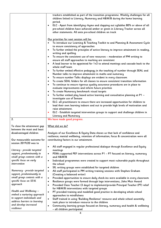|                                                       | trackers established as part of the transition programme. Weekly challenges for all<br>children linked to Literacy, Numeracy and H&W/B during the home learning |
|-------------------------------------------------------|-----------------------------------------------------------------------------------------------------------------------------------------------------------------|
|                                                       | period.                                                                                                                                                         |
|                                                       | ELC - Apart from identifying rhyme and clapping out syllables 80% or above of all                                                                               |
|                                                       | pre-school children have achieved amber or green in Literacy Tracker across all                                                                                 |
|                                                       |                                                                                                                                                                 |
|                                                       | other statements. All ante pre-school children on track                                                                                                         |
|                                                       | Our priorities for next session will be:                                                                                                                        |
|                                                       | To introduce our Learning & Teaching Toolkit to and Planning & Assessment Cycle                                                                                 |
|                                                       | to ensure consistency of approaches                                                                                                                             |
|                                                       | To further embed the principles of active literacy to improve attainment in reading,<br>$\bullet$                                                               |
|                                                       | writing and spelling.                                                                                                                                           |
|                                                       | To ensure the consistent use of new resources - moderation of PM writing to<br>$\bullet$                                                                        |
|                                                       | ensure all staff approaches to marking are consistent                                                                                                           |
|                                                       | A lead learner to be appointed for 1+2 to attend meetings and cascade back to the<br>$\bullet$                                                                  |
|                                                       | whole staff team                                                                                                                                                |
|                                                       | To further embed effective pedagogy in the teaching of number through SEAL and                                                                                  |
|                                                       | Number talks to improve attainment in maths and numeracy                                                                                                        |
|                                                       | To ensure number Talks displays are evident in every classroom<br>$\bullet$                                                                                     |
|                                                       | To create SEAL folders for all classes to ensure consistent transition information<br>$\bullet$                                                                 |
|                                                       | To continue to ensure rigorous quality assurance procedures are in place to<br>$\bullet$                                                                        |
|                                                       | evaluate improvements and inform future priorities                                                                                                              |
|                                                       | To create Numeracy benchmark visual targets<br>$\bullet$                                                                                                        |
|                                                       | To further embed play based active learning and consultative planning at P1 -<br>$\bullet$                                                                      |
|                                                       | investigate use of Seesaw                                                                                                                                       |
|                                                       | ELC- all practitioners to ensure there are increased opportunities for children to<br>$\bullet$                                                                 |
|                                                       | lead their own learning indoors and out to provide high levels of motivation and                                                                                |
|                                                       | raise attainment.                                                                                                                                               |
|                                                       |                                                                                                                                                                 |
|                                                       |                                                                                                                                                                 |
|                                                       | ELC - Establish targeted intervention groups to support and challenge children in<br>$\bullet$                                                                  |
| 2.                                                    | Literacy and Numeracy<br>We have made good progress.                                                                                                            |
|                                                       |                                                                                                                                                                 |
| To close the attainment qap                           | What did we do?                                                                                                                                                 |
| between the most and least                            |                                                                                                                                                                 |
| disadvantaged children                                | Analysis of our Excellence & Equity Data shows us that lack of confidence and                                                                                   |
|                                                       | resilience; mental wellbeing, retention of information; focus & concentration were all                                                                          |
| Our measurable outcome for                            | contributing factors in our attainment.                                                                                                                         |
| session 2019/20 was to                                |                                                                                                                                                                 |
|                                                       | All staff engaged in regular professional dialogue through Excellence and Equity<br>$\bullet$                                                                   |
| Literacy - provide targeted                           | meetings                                                                                                                                                        |
|                                                       | ٠                                                                                                                                                               |
| support, predominantly in                             | PSWs supported PEF interventions across P1 - P7 focused on literacy, numeracy<br>and H&W/B                                                                      |
| small group contexts with a                           | $\bullet$                                                                                                                                                       |
| specific focus on early<br>intervention               | Individual programmes were created to support most vulnerable pupils throughout<br>the school                                                                   |
|                                                       | $\bullet$                                                                                                                                                       |
|                                                       | SfL writing groups were established for targeted children<br>$\bullet$                                                                                          |
| Numeracy - provide targeted                           | All staff participated in PM writing training sessions with Stephen Graham                                                                                      |
| support, predominantly in                             | (Creating a balanced writer)<br>$\bullet$                                                                                                                       |
| small group contexts with a<br>specific focus on SEAL | Provided opportunities to ensure daily check-ins were available in every classroom                                                                              |
| approach                                              | Resilience groups were formed through lego interventions, John Muir Award<br>$\bullet$                                                                          |
|                                                       | Provided Class Teacher (3 days) to implement/provide Principal Teacher (PT) relief<br>٠                                                                         |
| Health and Wellbeing -                                | for H&W/B interventions with targeted groups                                                                                                                    |
| embed a nurturing approach                            | PT provided training and modelled good practice in developing whole school<br>$\bullet$                                                                         |
| to support individuals and                            | approaches to mindfulness                                                                                                                                       |
| address barriers to learning                          | Staff trained in using 'Building Resilience' resource and whole school assembly<br>$\bullet$                                                                    |
| and develop increased                                 | took place to introduce resource to the children<br>Community learning groups focused on literacy, numeracy and health & wellbeing<br>$\bullet$                 |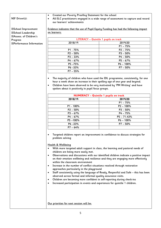# **NIF Driver(s):**

- ☒**School Improvement**  ☒**School Leadership**  ☒**Assess. of Children's Progress**  ☒**Performance Information**
- **Created our Poverty Proofing Statement for the school**
- **All ELC practitioners engaged in a wide range of assessment to capture and record our learners' achievements**

**Evidence indicates that the use of Pupil Equity Funding has had the following impact on learners:**

| LITERACY - Quintile 1 pupils on track |              |  |
|---------------------------------------|--------------|--|
| 2018/19                               | 2019/20      |  |
|                                       | $P1 - 75%$   |  |
| $P1 - 75%$                            | $P2 - 75%$   |  |
| $P2 - 50%$                            | $P3 - 50%$   |  |
| $P3 - 33%$                            | $P4 - 50%$   |  |
| $P4 - 67%$                            | $P5 - 67%$   |  |
| P5 -75%                               | $P6 - 100\%$ |  |
| P6 -33%                               | $P7 - 50%$   |  |
| $P7 - 55%$                            |              |  |

- **The majority of children who have used the IDL programme, consistently, for one hour a week show an increase in their spelling age of one year and beyond.**
- **Children have been observed to be very motivated by 'PM Writing' and have spoken about it positively in pupil focus groups.**

| <b>NUMERACY - Quintile 1 pupils on track</b> |               |  |
|----------------------------------------------|---------------|--|
| 2018/19                                      | 2019/20       |  |
|                                              | $P1 - 75%$    |  |
| $P1 - 100\%$                                 | $P2 - 100\%$  |  |
| $P2 - 50%$                                   | $P3 - 50%$    |  |
| $P3 - 67%$                                   | $P4 - 75%$    |  |
| $P4 - 67%$                                   | $P5 - 71.43%$ |  |
| P5-100%                                      | $P6 - 100\%$  |  |
| P6 -33%                                      | $P7 - 50%$    |  |
| $P7 - 64%$                                   |               |  |

 **Targeted children report an improvement in confidence to discuss strategies for problem solving** 

# **Health & Wellbeing**

- **With more targeted adult support in class, the learning and pastoral needs of children are being more easily met.**
- **Observations and discussions with our identified children indicate a positive impact on their emotion wellbeing and resilience and they are engaging more effectively within the classroom environment**
- **Increase in the number of conflict situations resolved through restorative approaches particularly in the playground**
- **Staff consistently using the language of Ready, Respectful and Safe – this has been observed across formal and informal quality assurance visits.**
- **Children are becoming more confident in self-reporting during check-ins**
- **Increased participation in events and experiences for quintile 1 children.**

**Our priorities for next session will be:**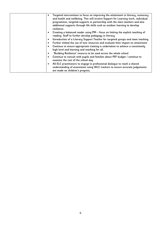| Targeted interventions to focus on improving the attainment in literacy, numeracy<br>and health and wellbeing. This will involve Support for Learning work, individual<br>programmes, targeted supports in partnership with the class teachers and also<br>additional supports through life skills such as outdoor learning to develop<br>resilience. |
|-------------------------------------------------------------------------------------------------------------------------------------------------------------------------------------------------------------------------------------------------------------------------------------------------------------------------------------------------------|
| Creating a balanced reader using PM - focus on linking the explicit teaching of<br>reading. Staff to further develop pedagogy in literacy                                                                                                                                                                                                             |
| Introduction of a Literacy Support Teacher for targeted groups and team teaching                                                                                                                                                                                                                                                                      |
| Further embed the use of new resources and evaluate their impact on attainment                                                                                                                                                                                                                                                                        |
| Continue to ensure appropriate training is undertaken to achieve a consistently<br>high level and learning and teaching for all.                                                                                                                                                                                                                      |
| 'Building Resilience' resource to be used across the whole school                                                                                                                                                                                                                                                                                     |
| Continue to consult with pupils and families about PEF budget / continue to<br>examine the cost of the school day                                                                                                                                                                                                                                     |
| All ELC practitioners to engage in professional dialogue to reach a shared<br>understanding of assessment using WLC trackers to ensure accurate judgements<br>are made on children's progress.                                                                                                                                                        |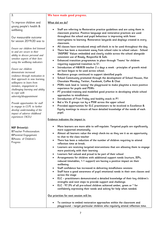| Our measurable outcome<br>for session 2019/20 was to                                                                                   | throughout the school and pupil behaviour is improving with fewer<br>interruptions to learning. Restorative lanyards and displays created in every<br>classroom.                                                                                                                                     |
|----------------------------------------------------------------------------------------------------------------------------------------|------------------------------------------------------------------------------------------------------------------------------------------------------------------------------------------------------------------------------------------------------------------------------------------------------|
| Ensure our children feel listened<br>to and are secure in their<br>ability to discuss personal and<br>sensitive aspects of their lives | All classes have introduced emoji self-check in to be used throughout the day<br>$\bullet$<br>There has been a movement away from school rules to school values - School<br>'INSPIRE' Values embedded and clearly visible across the school alongside<br>consistent use of Ready, Respectful & Safe. |
| using the wellbeing indicators                                                                                                         | Enhanced transition programmes in place through 'Teams' for children<br>$\bullet$<br>requiring supported transition to S1.                                                                                                                                                                           |
| Ensure our children<br>demonstrate increased                                                                                           | Introduction of H&W/B teacher 2 x days a week - principles of growth mind-<br>$\bullet$<br>set have begun to be used across school.                                                                                                                                                                  |
| resilience through motivation in<br>their approach to new learning,                                                                    | Resilience groups continued to support identified pupils<br>$\bullet$<br>School Community promoted through the development of School Houses, Hot<br>$\bullet$<br>Chocolate Monday, Twitter, Facebook, Coffee & Chat                                                                                  |
| willingness to learn from<br>mistakes, engagement in                                                                                   | PSWs took lead in 'zoning' the playground to make playtime a more positive<br>$\bullet$<br>experience for pupils and PSWs                                                                                                                                                                            |
| challenging learning and ability<br>to cope with<br>adversity/disappointment                                                           | PT provided training and modelled good practice in developing whole school<br>$\bullet$<br>approaches to mindfulness                                                                                                                                                                                 |
|                                                                                                                                        | Introduction of Fruit Friday and healthy snack in P1<br>$\bullet$                                                                                                                                                                                                                                    |
| Provide opportunities for staff                                                                                                        | Bal a Vis X groups run by a PSW across the upper school<br>$\bullet$                                                                                                                                                                                                                                 |
| to engage in CLPL to further                                                                                                           | Provided opportunities for ELC practitioners to be involved in Excellence &<br>$\bullet$                                                                                                                                                                                                             |
| develop understanding of the                                                                                                           | Equity meetings to ensure all have detailed knowledge of the needs of each<br>pupil.                                                                                                                                                                                                                 |
| impact of adverse childhood<br>experiences (ACEs)                                                                                      |                                                                                                                                                                                                                                                                                                      |
|                                                                                                                                        | Evidence indicates the impact is:                                                                                                                                                                                                                                                                    |
| NIF Driver(s):                                                                                                                         | More learners are more able to self-regulate. Targeted pupils are significantly<br>$\bullet$                                                                                                                                                                                                         |
| ⊠Teacher Professionalism                                                                                                               | more supported emotionally.                                                                                                                                                                                                                                                                          |
| ⊠Parental Engagement                                                                                                                   | Almost all learners value the emoji check-ins as they see it as an opportunity<br>$\bullet$<br>to chat to the class teacher                                                                                                                                                                          |
| ⊠Assess. of Children's<br>Progress                                                                                                     | There has been a reduction of the number of children requiring to attend<br>$\bullet$<br>reflection time at break.                                                                                                                                                                                   |
|                                                                                                                                        | Learners are receiving targeted interventions that are allowing them to engage<br>$\bullet$<br>more positively with their learning                                                                                                                                                                   |
|                                                                                                                                        | Learners feel valued and proud to be part of their school<br>$\bullet$                                                                                                                                                                                                                               |
|                                                                                                                                        | Arrangements for children with additional support needs (nurture, IEPs,<br>reduced timetables, 1-1 support) are having a positive impact on their<br>wellbeing.                                                                                                                                      |
|                                                                                                                                        | Staff confidence has increased in delivering mindfulness sessions<br>$\bullet$                                                                                                                                                                                                                       |
|                                                                                                                                        | Staff have a good awareness of pupil emotional needs in their own classes and<br>$\bullet$                                                                                                                                                                                                           |
|                                                                                                                                        | across the stage                                                                                                                                                                                                                                                                                     |
|                                                                                                                                        | ELC - practitioners demonstrated a detailed knowledge of their key children's<br>$\bullet$                                                                                                                                                                                                           |
|                                                                                                                                        | strengths and next steps to provide support and challenge.<br>$\bullet$                                                                                                                                                                                                                              |
|                                                                                                                                        | ELC - 97.3% of all pre-school children achieved amber, green or * for<br>confidently expressing their needs and asking for help when needed.                                                                                                                                                         |
|                                                                                                                                        |                                                                                                                                                                                                                                                                                                      |
|                                                                                                                                        | Our priorities for next session will be:                                                                                                                                                                                                                                                             |
|                                                                                                                                        |                                                                                                                                                                                                                                                                                                      |

# **We have made good progress.**

 **Staff are referring to Restorative practice guidelines and are using them in classroom practice. Positive language and restorative practices are used** 

# **What did we do?**

3.

wellbeing

To improve children and young people's health &

7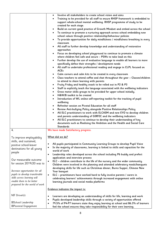|                                                    | Involve all stakeholders to create school vision and aims                                                                                          |
|----------------------------------------------------|----------------------------------------------------------------------------------------------------------------------------------------------------|
|                                                    | Training to be provided for all staff to ensure RHSP framework is embedded to                                                                      |
|                                                    | support whole-school mental wellbeing. RHSP programme of study to be                                                                               |
|                                                    | created for each stage.                                                                                                                            |
|                                                    | Build on current good practice of Growth Mindset and embed across the school                                                                       |
|                                                    | To continue to promote a nurturing approach across school embedding new                                                                            |
|                                                    | school values through positive relationship/behaviour policies                                                                                     |
|                                                    | To provide opportunities for daily mindfulness / mindfulness breathing in every<br>classroom                                                       |
|                                                    | All staff to further develop knowledge and understanding of restorative                                                                            |
|                                                    | approaches                                                                                                                                         |
|                                                    | Focus on developing school playground to continue to promote a climate                                                                             |
|                                                    | where children feel safe and secure - PSWs to take lead on this                                                                                    |
|                                                    | Further develop the use of evaluative language to enable all learners to more                                                                      |
|                                                    | specifically define their strengths / development needs                                                                                            |
|                                                    | All staff to undertake professional reading and engage in CLPL focused on<br><b>ACEs</b>                                                           |
|                                                    | Calm corners and calm kits to be created in every classroom                                                                                        |
|                                                    | Class teachers to attend coffee and chat throughout the year - Classes/children<br>$\bullet$                                                       |
|                                                    | to attend to share learning with parents                                                                                                           |
|                                                    | Fruity Friday and healthy snack to be rolled out in P2 & P3                                                                                        |
|                                                    | Staff to explicitly teach the language associated with the wellbeing indicators                                                                    |
|                                                    | Gross motor skills groups to be provided for upper school initially.<br>$\bullet$                                                                  |
|                                                    | H&W/B toolkit to be created<br>$\bullet$                                                                                                           |
|                                                    | Introduction of WL online self-reporting toolkit for the tracking of pupil<br>wellbeing                                                            |
|                                                    | Refresher session on Pivotal Education for all staff                                                                                               |
|                                                    | Review Anti-bullying Policy alongside Positive Relationships Policy<br>$\bullet$                                                                   |
|                                                    | All ELC practitioners to work with ELCASM and new EYO to develop children                                                                          |
|                                                    | and parents understanding of GIRFEC and the wellbeing indicators                                                                                   |
|                                                    | All ELC practitioners to continue to develop their understanding of key<br>documents such as Realising the Ambition and the Health and Social Care |
|                                                    | Standards                                                                                                                                          |
| 4.                                                 | We have made Satisfactory progress.                                                                                                                |
|                                                    | What did we do?                                                                                                                                    |
| To improve employability<br>skills, and sustained, |                                                                                                                                                    |
| positive school-leaver                             | All pupils participated in Community Learning Groups to develop Pupil Voice<br>$\bullet$                                                           |
| destinations for all young                         | In the majority of classrooms, learning is linked to skills and capacities for the<br>٠                                                            |
| people                                             | world of work                                                                                                                                      |
|                                                    | Leadership roles developed across the school including P6 buddy and prefect<br>٠                                                                   |
| Our measurable outcome                             | application and interview process                                                                                                                  |
| for session 2019/20 was to                         | ELC - children contribute to the life of the nursery and the wider community.<br>$\bullet$                                                         |
|                                                    | Children were involved in the planning and attended celebratory meals/banquets                                                                     |
| Increase opportunities for all                     | developing skills for life such as Christmas dinner, Burns Supper, Chinese New<br>Year banquet                                                     |
| pupils to develop transferable                     | ELC - practitioners have worked hard to fully involve parents / carers in<br>$\bullet$                                                             |
| skills across learning will                        | celebrating learners' achievements through increased engagement with online                                                                        |
| enable them to be better                           | learning journals and social media platforms                                                                                                       |
| prepared for the world of work                     |                                                                                                                                                    |
|                                                    | <u>Evidence indicates the impact is:</u>                                                                                                           |
| NIF Driver(s):                                     | Learners are developing an understanding of skills for life, learning and work<br>٠                                                                |
|                                                    | Pupils developed leadership skills through a variety of opportunities offered<br>$\bullet$                                                         |
| ⊠School Leadership                                 | 79.5% of P4-P7 learners state they enjoy learning at school and 86.3% of learners<br>٠                                                             |
| ⊠Parental Engagement                               | feel the school ensures they take responsibility for their own learning.                                                                           |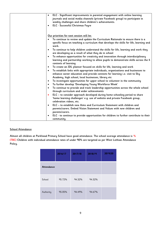| ELC - Significant improvements in parental engagement with online learning<br>$\bullet$                                                                                                                      |
|--------------------------------------------------------------------------------------------------------------------------------------------------------------------------------------------------------------|
| journals and social media channels (private Facebook group) to participate in<br>weekly challenges and share children's achievements.                                                                        |
| ELC - Successful Christmas Fayre<br>$\bullet$                                                                                                                                                                |
|                                                                                                                                                                                                              |
|                                                                                                                                                                                                              |
| Our priorities for next session will be:                                                                                                                                                                     |
| To continue to review and update the Curriculum Rationale to ensure there is a<br>$\bullet$                                                                                                                  |
| specific focus on teaching a curriculum that develops the skills for life, learning and<br>work.                                                                                                             |
| To continue to help children understand the skills for life, learning and work they<br>$\bullet$<br>are developing as a result of what they do in school                                                     |
| To enhance opportunities for creativity and innovation through interdisciplinary<br>$\bullet$<br>learning and partnership working to allow pupils to demonstrate skills across the 4<br>contexts of learning |
| To create an IDL planner focused on skills for life, learning and work<br>$\bullet$                                                                                                                          |
| To establish links with appropriate individuals, organisations and businesses to<br>$\bullet$                                                                                                                |
| enhance career education and provide contexts for learning i.e. visit to Sky                                                                                                                                 |
| Academy, high school, local businesses, library etc                                                                                                                                                          |
| To investigate opportunities for upper school to volunteer in the community<br>$\bullet$                                                                                                                     |
| To further develop 'Developing Young Workforce Week'<br>$\bullet$                                                                                                                                            |
| To continue to provide and track leadership opportunities across the whole school<br>$\bullet$<br>through curriculum and wider achievements                                                                  |
| ELC - to consider approach developed during home schooling period to share<br>٠                                                                                                                              |
| 'home learning challenges' e.g. use of website and private Facebook group,<br>celebration videos, etc.                                                                                                       |
| ELC - to establish new Aims and Curriculum Statement with children and<br>$\bullet$                                                                                                                          |
| parents/carers. Embed Vision Statement and Values with new children and<br>parents/carers.                                                                                                                   |
| ELC - to continue to provide opportunities for children to further contribute to their<br>$\bullet$                                                                                                          |
| community.                                                                                                                                                                                                   |

# **School Attendance**

**Almost all children at Parkhead Primary School have good attendance. The school average attendance is % (TBC) Children with individual attendance rates of under 90% are targeted as per West Lothian Attendance Policy.** 

|            | 2016/17 | 2017/18 | 2018/19 | 2019/20 |
|------------|---------|---------|---------|---------|
| Attendance |         |         |         |         |
| School     | 95.72%  | 94.32%  | 94.32%  |         |
| Authority  | 95.05%  | 94.49%  | 94.67%  |         |